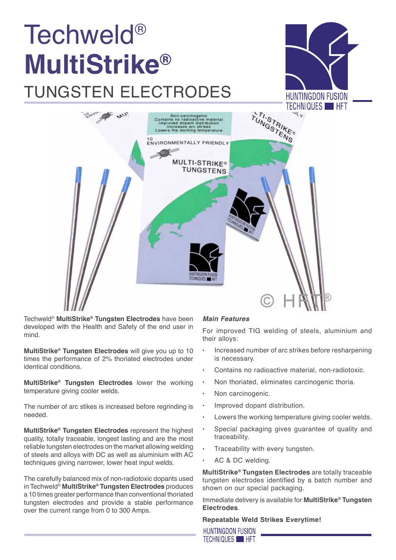# Techweld® **MultiStrike®**  tungsten electrodes





Techweld® **MultiStrike® Tungsten Electrodes** have been developed with the Health and Safety of the end user in mind.

**MultiStrike® Tungsten Electrodes** will give you up to 10 times the performance of 2% thoriated electrodes under identical conditions.

**MultiStrike® Tungsten Electrodes** lower the working temperature giving cooler welds.

The number of arc stikes is increased before regrinding is needed.

**MultiStrike® Tungsten Electrodes** represent the highest quality, totally traceable, longest lasting and are the most reliable tungsten electrodes on the market allowing welding of steels and alloys with DC as well as aluminium with AC techniques giving narrower, lower heat input welds.

The carefully balanced mix of non-radiotoxic dopants used in Techweld® **MultiStrike® Tungsten Electrodes** produces a 10 times greater performance than conventional thoriated tungsten electrodes and provide a stable performance over the current range from 0 to 300 Amps.

# *Main Features*

For improved TIG welding of steels, aluminium and their alloys:

- Increased number of arc strikes before resharpening is necessary.
- Contains no radioactive material, non-radiotoxic.
- Non thoriated, eliminates carcinogenic thoria.
- Non carcinogenic.
- Improved dopant distribution.
- Lowers the working temperature giving cooler welds.
- Special packaging gives guarantee of quality and traceability.
- Traceability with every tungsten.
- AC & DC welding.

**MultiStrike® Tungsten Electrodes** are totally traceable tungsten electrodes identified by a batch number and shown on our special packaging.

Immediate delivery is available for **MultiStrike® Tungsten Electrodes**.

# **Repeatable Weld Strikes Everytime!**